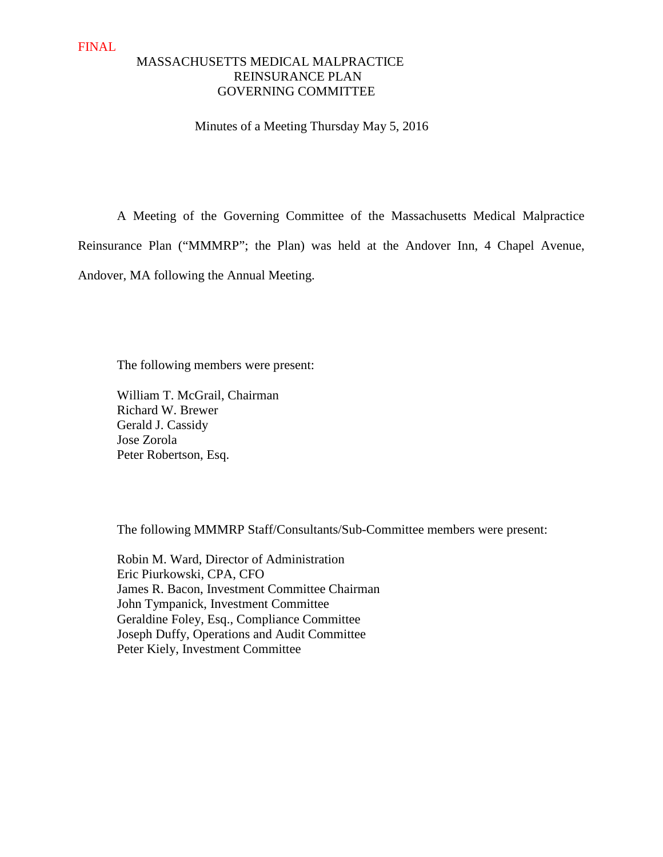# MASSACHUSETTS MEDICAL MALPRACTICE REINSURANCE PLAN GOVERNING COMMITTEE

Minutes of a Meeting Thursday May 5, 2016

A Meeting of the Governing Committee of the Massachusetts Medical Malpractice

Reinsurance Plan ("MMMRP"; the Plan) was held at the Andover Inn, 4 Chapel Avenue,

Andover, MA following the Annual Meeting.

The following members were present:

William T. McGrail, Chairman Richard W. Brewer Gerald J. Cassidy Jose Zorola Peter Robertson, Esq.

The following MMMRP Staff/Consultants/Sub-Committee members were present:

 Robin M. Ward, Director of Administration Eric Piurkowski, CPA, CFO James R. Bacon, Investment Committee Chairman John Tympanick, Investment Committee Geraldine Foley, Esq., Compliance Committee Joseph Duffy, Operations and Audit Committee Peter Kiely, Investment Committee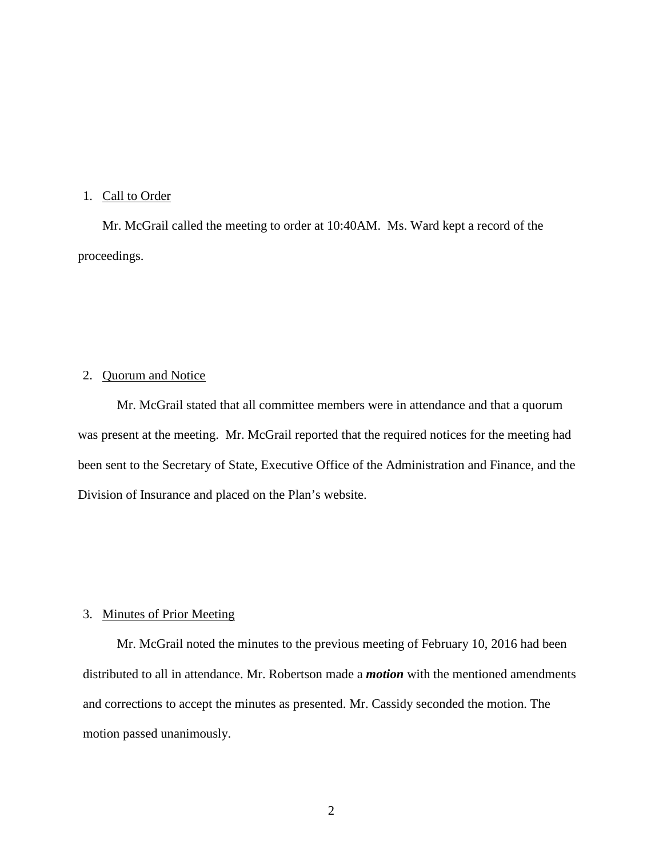# 1. Call to Order

Mr. McGrail called the meeting to order at 10:40AM. Ms. Ward kept a record of the proceedings.

### 2. Quorum and Notice

Mr. McGrail stated that all committee members were in attendance and that a quorum was present at the meeting. Mr. McGrail reported that the required notices for the meeting had been sent to the Secretary of State, Executive Office of the Administration and Finance, and the Division of Insurance and placed on the Plan's website.

## 3. Minutes of Prior Meeting

Mr. McGrail noted the minutes to the previous meeting of February 10, 2016 had been distributed to all in attendance. Mr. Robertson made a *motion* with the mentioned amendments and corrections to accept the minutes as presented. Mr. Cassidy seconded the motion. The motion passed unanimously.

2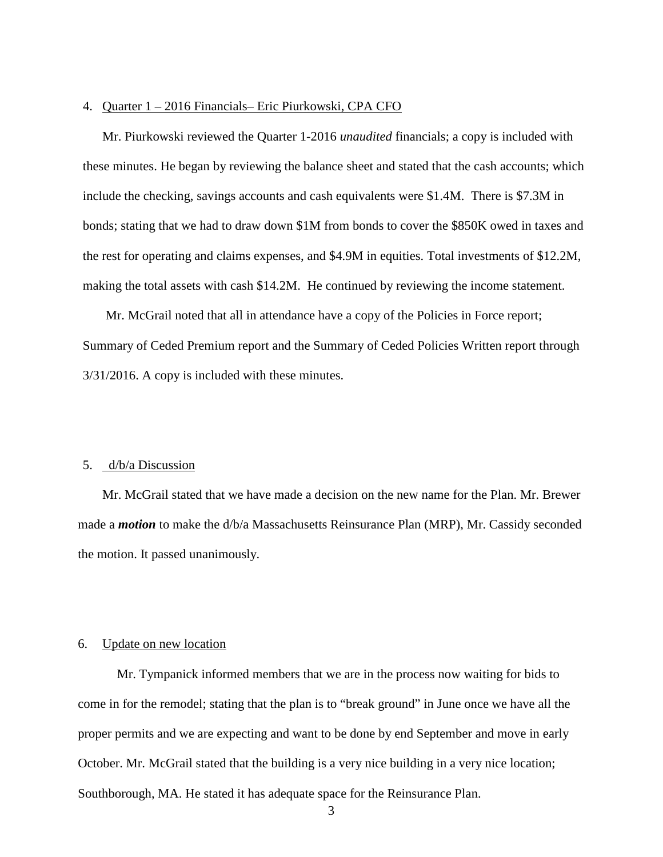#### 4. Quarter 1 – 2016 Financials– Eric Piurkowski, CPA CFO

Mr. Piurkowski reviewed the Quarter 1-2016 *unaudited* financials; a copy is included with these minutes. He began by reviewing the balance sheet and stated that the cash accounts; which include the checking, savings accounts and cash equivalents were \$1.4M. There is \$7.3M in bonds; stating that we had to draw down \$1M from bonds to cover the \$850K owed in taxes and the rest for operating and claims expenses, and \$4.9M in equities. Total investments of \$12.2M, making the total assets with cash \$14.2M. He continued by reviewing the income statement.

 Mr. McGrail noted that all in attendance have a copy of the Policies in Force report; Summary of Ceded Premium report and the Summary of Ceded Policies Written report through 3/31/2016. A copy is included with these minutes.

#### 5. d/b/a Discussion

Mr. McGrail stated that we have made a decision on the new name for the Plan. Mr. Brewer made a *motion* to make the d/b/a Massachusetts Reinsurance Plan (MRP), Mr. Cassidy seconded the motion. It passed unanimously.

#### 6. Update on new location

Mr. Tympanick informed members that we are in the process now waiting for bids to come in for the remodel; stating that the plan is to "break ground" in June once we have all the proper permits and we are expecting and want to be done by end September and move in early October. Mr. McGrail stated that the building is a very nice building in a very nice location; Southborough, MA. He stated it has adequate space for the Reinsurance Plan.

3